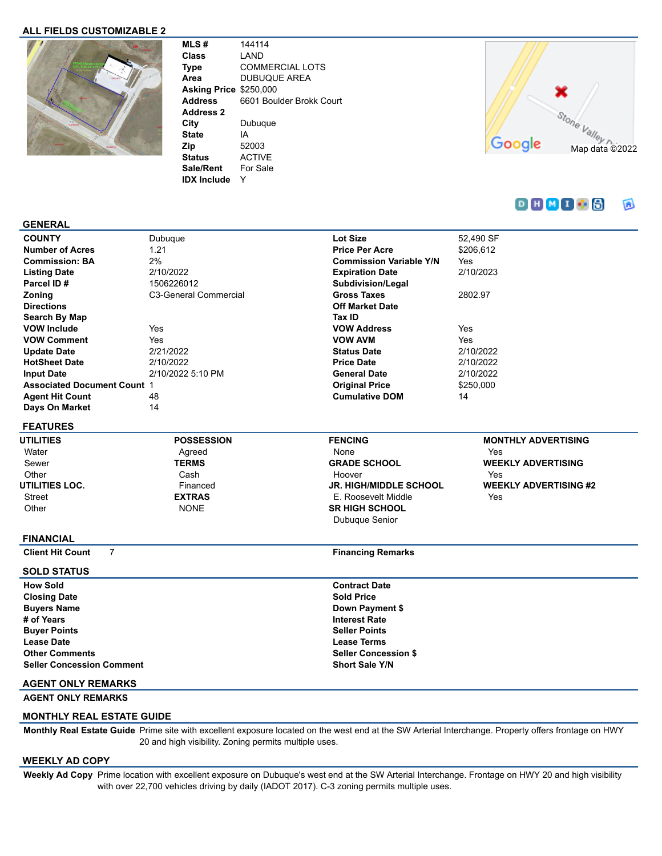### **ALL FIELDS CUSTOMIZABLE 2**



**MLS #** 144114 **Class** LAND **Type** COMMERCIAL LOTS **Area** DUBUQUE AREA **Asking Price** \$250,000 **Address** 6601 Boulder Brokk Court **Address 2 City** Dubuque **State** IA **Zip** 52003 **Status** ACTIVE **Sale/Rent** For Sale **IDX Include** Y



#### $D H M I B$  $\overline{\mathbf{a}}$

### **GENERAL**

| <b>COUNTY</b>                      | Dubuque               | Lot Size                       | 52,490 SF                  |
|------------------------------------|-----------------------|--------------------------------|----------------------------|
| <b>Number of Acres</b>             | 1.21                  | <b>Price Per Acre</b>          | \$206,612                  |
| <b>Commission: BA</b>              | 2%                    | <b>Commission Variable Y/N</b> | Yes                        |
| <b>Listing Date</b>                | 2/10/2022             | <b>Expiration Date</b>         | 2/10/2023                  |
| Parcel ID#                         | 1506226012            | Subdivision/Legal              |                            |
| Zoning                             | C3-General Commercial | Gross Taxes                    | 2802.97                    |
| <b>Directions</b>                  |                       | <b>Off Market Date</b>         |                            |
| Search By Map                      |                       | Tax ID                         |                            |
| <b>VOW Include</b>                 | Yes                   | <b>VOW Address</b>             | Yes                        |
| <b>VOW Comment</b>                 | Yes                   | <b>VOW AVM</b>                 | Yes                        |
| <b>Update Date</b>                 | 2/21/2022             | <b>Status Date</b>             | 2/10/2022                  |
| <b>HotSheet Date</b>               | 2/10/2022             | <b>Price Date</b>              | 2/10/2022                  |
| <b>Input Date</b>                  | 2/10/2022 5:10 PM     | <b>General Date</b>            | 2/10/2022                  |
| <b>Associated Document Count 1</b> |                       | <b>Original Price</b>          | \$250,000                  |
| <b>Agent Hit Count</b>             | 48                    | <b>Cumulative DOM</b>          | 14                         |
| Days On Market                     | 14                    |                                |                            |
| <b>FEATURES</b>                    |                       |                                |                            |
| UTILITIES                          | <b>POSSESSION</b>     | <b>FENCING</b>                 | <b>MONTHLY ADVERTISING</b> |
| Water                              | Agreed                | None                           | Yes                        |
|                                    |                       |                                |                            |

Sewer **Other UTILITIES LOC.** Street **Other** 

**TERMS** Cash Financed **EXTRAS** NONE

**GRADE SCHOOL** Hoover **JR. HIGH/MIDDLE SCHOOL** E. Roosevelt Middle **SR HIGH SCHOOL** Dubuque Senior

**WEEKLY ADVERTISING** Yes **WEEKLY ADVERTISING #2** Yes

### **FINANCIAL**

**Client Hit Count** 7 **Financing Remarks** 

| <b>SOLD STATUS</b>               |                             |
|----------------------------------|-----------------------------|
| <b>How Sold</b>                  | <b>Contract Date</b>        |
| <b>Closing Date</b>              | <b>Sold Price</b>           |
| <b>Buyers Name</b>               | Down Payment \$             |
| # of Years                       | <b>Interest Rate</b>        |
| <b>Buyer Points</b>              | <b>Seller Points</b>        |
| <b>Lease Date</b>                | <b>Lease Terms</b>          |
| <b>Other Comments</b>            | <b>Seller Concession \$</b> |
| <b>Seller Concession Comment</b> | <b>Short Sale Y/N</b>       |
|                                  |                             |

# **AGENT ONLY REMARKS**

**AGENT ONLY REMARKS**

### **MONTHLY REAL ESTATE GUIDE**

**Monthly Real Estate Guide** Prime site with excellent exposure located on the west end at the SW Arterial Interchange. Property offers frontage on HWY 20 and high visibility. Zoning permits multiple uses.

## **WEEKLY AD COPY**

**Weekly Ad Copy** Prime location with excellent exposure on Dubuque's west end at the SW Arterial Interchange. Frontage on HWY 20 and high visibility with over 22,700 vehicles driving by daily (IADOT 2017). C-3 zoning permits multiple uses.